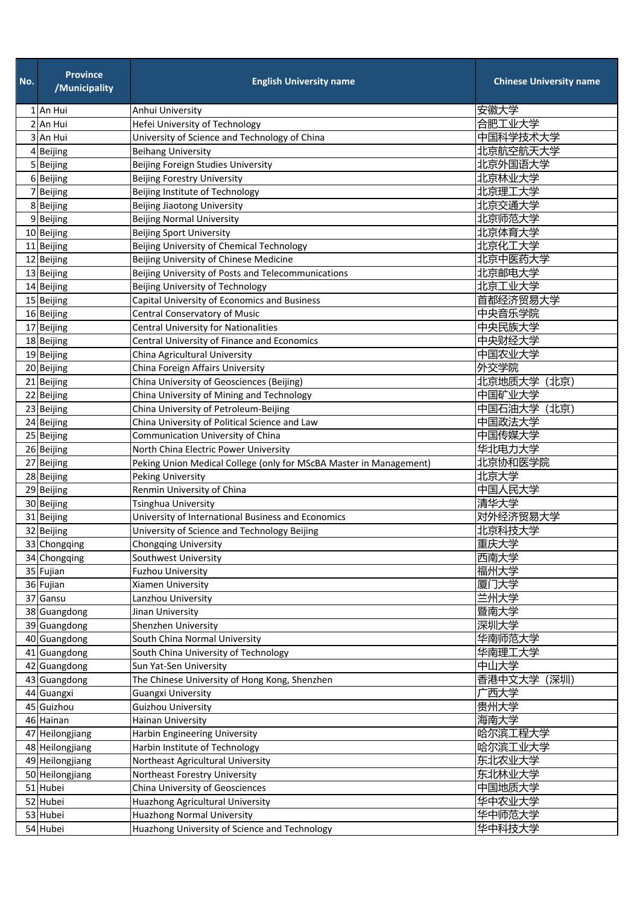| No. | <b>Province</b><br>/Municipality | <b>English University name</b>                                     | <b>Chinese University name</b> |
|-----|----------------------------------|--------------------------------------------------------------------|--------------------------------|
|     | 1 An Hui                         | Anhui University                                                   | 安徽大学                           |
|     | 2 An Hui                         | Hefei University of Technology                                     | 合肥工业大学                         |
|     | 3 An Hui                         | University of Science and Technology of China                      | 中国科学技术大学                       |
|     | 4 Beijing                        | <b>Beihang University</b>                                          | 北京航空航天大学                       |
|     | 5 Beijing                        | Beijing Foreign Studies University                                 | 北京外国语大学                        |
|     | 6 Beijing                        | <b>Beijing Forestry University</b>                                 | 北京林业大学                         |
|     | 7 Beijing                        | Beijing Institute of Technology                                    | 北京理工大学                         |
|     | 8 Beijing                        | Beijing Jiaotong University                                        | 北京交通大学                         |
|     | 9 Beijing                        | <b>Beijing Normal University</b>                                   | 北京师范大学                         |
|     | 10 Beijing                       | <b>Beijing Sport University</b>                                    | 北京体育大学                         |
|     | 11 Beijing                       | Beijing University of Chemical Technology                          | 北京化工大学                         |
|     | 12 Beijing                       | Beijing University of Chinese Medicine                             | 北京中医药大学                        |
|     | 13 Beijing                       | Beijing University of Posts and Telecommunications                 | 北京邮电大学                         |
|     | 14 Beijing                       | Beijing University of Technology                                   | 北京工业大学                         |
|     | 15 Beijing                       | Capital University of Economics and Business                       | 首都经济贸易大学                       |
|     | 16 Beijing                       | Central Conservatory of Music                                      | 中央音乐学院                         |
|     | 17 Beijing                       | <b>Central University for Nationalities</b>                        | 中央民族大学                         |
|     | 18 Beijing                       | Central University of Finance and Economics                        | 中央财经大学                         |
|     | 19 Beijing                       | China Agricultural University                                      | 中国农业大学                         |
|     | 20 Beijing                       | China Foreign Affairs University                                   | 外交学院                           |
|     | 21 Beijing                       | China University of Geosciences (Beijing)                          | 北京地质大学(北京)                     |
|     | 22 Beijing                       | China University of Mining and Technology                          | 中国矿业大学                         |
|     | 23 Beijing                       | China University of Petroleum-Beijing                              | 中国石油大学(北京)                     |
|     | 24 Beijing                       | China University of Political Science and Law                      | 中国政法大学                         |
|     | 25 Beijing                       | Communication University of China                                  | 中国传媒大学                         |
|     | 26 Beijing                       | North China Electric Power University                              | 华北电力大学                         |
|     | 27 Beijing                       | Peking Union Medical College (only for MScBA Master in Management) | 北京协和医学院                        |
|     | 28 Beijing                       | Peking University                                                  | 北京大学                           |
|     | 29 Beijing                       | Renmin University of China                                         | 中国人民大学                         |
|     | 30 Beijing                       | Tsinghua University                                                | 清华大学<br>对外经济贸易大学               |
|     | 31 Beijing                       | University of International Business and Economics                 |                                |
|     | 32 Beijing<br>33 Chongqing       | University of Science and Technology Beijing                       | 北京科技大学<br>重庆大学                 |
|     |                                  | Chongqing University<br>Southwest University                       | 西南大学                           |
|     | 34 Chongqing<br>35 Fujian        | <b>Fuzhou University</b>                                           | 福州大学                           |
|     | 36 Fujian                        | Xiamen University                                                  | 厦门大学                           |
|     | 37 Gansu                         | Lanzhou University                                                 | 兰州大学                           |
|     | 38 Guangdong                     | Jinan University                                                   | 暨南大学                           |
|     | 39 Guangdong                     | Shenzhen University                                                | 深圳大学                           |
|     | 40 Guangdong                     | South China Normal University                                      | 华南师范大学                         |
|     | 41 Guangdong                     | South China University of Technology                               | 华南理工大学                         |
|     | 42 Guangdong                     | Sun Yat-Sen University                                             | 中山大学                           |
|     | 43 Guangdong                     | The Chinese University of Hong Kong, Shenzhen                      | 香港中文大学 (深圳)                    |
|     | 44 Guangxi                       | <b>Guangxi University</b>                                          | 广西大学                           |
|     | 45 Guizhou                       | <b>Guizhou University</b>                                          | 贵州大学                           |
|     | 46 Hainan                        | Hainan University                                                  | 海南大学                           |
|     | 47 Heilongjiang                  | Harbin Engineering University                                      | 哈尔滨工程大学                        |
|     | 48 Heilongjiang                  | Harbin Institute of Technology                                     | 哈尔滨工业大学                        |
|     | 49 Heilongjiang                  | Northeast Agricultural University                                  | 东北农业大学                         |
|     | 50 Heilongjiang                  | Northeast Forestry University                                      | 东北林业大学                         |
|     | 51 Hubei                         | China University of Geosciences                                    | 中国地质大学                         |
|     | 52 Hubei                         | Huazhong Agricultural University                                   | 华中农业大学                         |
|     | 53 Hubei                         | <b>Huazhong Normal University</b>                                  | 华中师范大学                         |
|     | 54 Hubei                         | Huazhong University of Science and Technology                      | 华中科技大学                         |
|     |                                  |                                                                    |                                |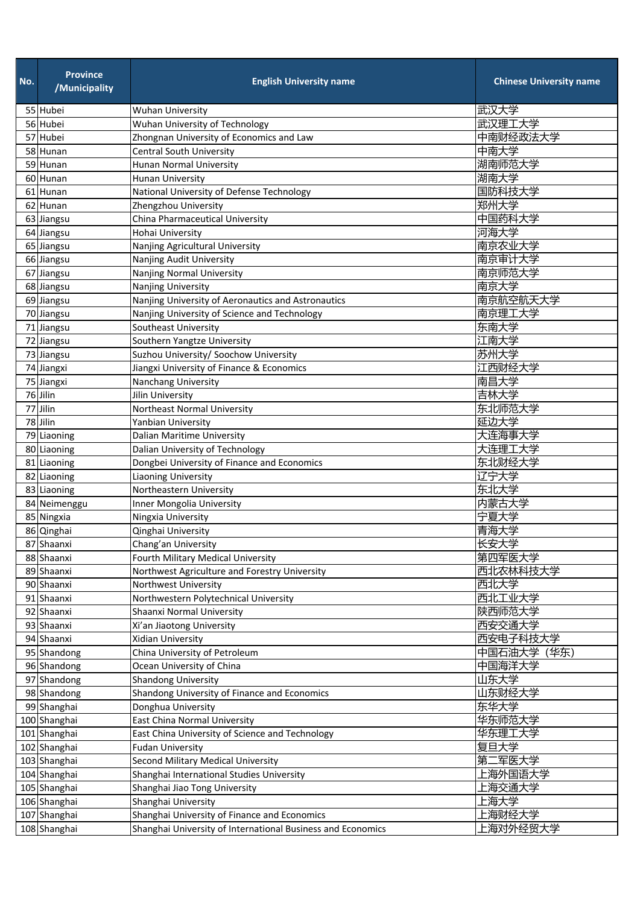| 武汉大学<br>55 Hubei<br><b>Wuhan University</b><br>武汉理工大学<br>Wuhan University of Technology<br>56 Hubei<br>中南财经政法大学<br>Zhongnan University of Economics and Law<br>57 Hubei<br>中南大学<br><b>Central South University</b><br>58 Hunan<br>湖南师范大学<br>Hunan Normal University<br>59 Hunan<br>湖南大学<br><b>Hunan University</b><br>60 Hunan<br>国防科技大学<br>National University of Defense Technology<br>61 Hunan<br>郑州大学<br>62 Hunan<br>Zhengzhou University<br>中国药科大学<br>China Pharmaceutical University<br>63 Jiangsu<br>河海大学<br>Hohai University<br>64 Jiangsu<br>南京农业大学<br>Nanjing Agricultural University<br>65 Jiangsu<br>南京审计大学<br>Nanjing Audit University<br>66 Jiangsu<br>南京师范大学<br><b>Nanjing Normal University</b><br>67 Jiangsu<br>南京大学<br>68 Jiangsu<br>Nanjing University<br>南京航空航天大学<br>Nanjing University of Aeronautics and Astronautics<br>69 Jiangsu<br>南京理工大学<br>Nanjing University of Science and Technology<br>70 Jiangsu<br>东南大学<br>71 Jiangsu<br>Southeast University | <b>Chinese University name</b> |
|---------------------------------------------------------------------------------------------------------------------------------------------------------------------------------------------------------------------------------------------------------------------------------------------------------------------------------------------------------------------------------------------------------------------------------------------------------------------------------------------------------------------------------------------------------------------------------------------------------------------------------------------------------------------------------------------------------------------------------------------------------------------------------------------------------------------------------------------------------------------------------------------------------------------------------------------------------------------------------|--------------------------------|
|                                                                                                                                                                                                                                                                                                                                                                                                                                                                                                                                                                                                                                                                                                                                                                                                                                                                                                                                                                                 |                                |
|                                                                                                                                                                                                                                                                                                                                                                                                                                                                                                                                                                                                                                                                                                                                                                                                                                                                                                                                                                                 |                                |
|                                                                                                                                                                                                                                                                                                                                                                                                                                                                                                                                                                                                                                                                                                                                                                                                                                                                                                                                                                                 |                                |
|                                                                                                                                                                                                                                                                                                                                                                                                                                                                                                                                                                                                                                                                                                                                                                                                                                                                                                                                                                                 |                                |
|                                                                                                                                                                                                                                                                                                                                                                                                                                                                                                                                                                                                                                                                                                                                                                                                                                                                                                                                                                                 |                                |
|                                                                                                                                                                                                                                                                                                                                                                                                                                                                                                                                                                                                                                                                                                                                                                                                                                                                                                                                                                                 |                                |
|                                                                                                                                                                                                                                                                                                                                                                                                                                                                                                                                                                                                                                                                                                                                                                                                                                                                                                                                                                                 |                                |
|                                                                                                                                                                                                                                                                                                                                                                                                                                                                                                                                                                                                                                                                                                                                                                                                                                                                                                                                                                                 |                                |
|                                                                                                                                                                                                                                                                                                                                                                                                                                                                                                                                                                                                                                                                                                                                                                                                                                                                                                                                                                                 |                                |
|                                                                                                                                                                                                                                                                                                                                                                                                                                                                                                                                                                                                                                                                                                                                                                                                                                                                                                                                                                                 |                                |
|                                                                                                                                                                                                                                                                                                                                                                                                                                                                                                                                                                                                                                                                                                                                                                                                                                                                                                                                                                                 |                                |
|                                                                                                                                                                                                                                                                                                                                                                                                                                                                                                                                                                                                                                                                                                                                                                                                                                                                                                                                                                                 |                                |
|                                                                                                                                                                                                                                                                                                                                                                                                                                                                                                                                                                                                                                                                                                                                                                                                                                                                                                                                                                                 |                                |
|                                                                                                                                                                                                                                                                                                                                                                                                                                                                                                                                                                                                                                                                                                                                                                                                                                                                                                                                                                                 |                                |
|                                                                                                                                                                                                                                                                                                                                                                                                                                                                                                                                                                                                                                                                                                                                                                                                                                                                                                                                                                                 |                                |
|                                                                                                                                                                                                                                                                                                                                                                                                                                                                                                                                                                                                                                                                                                                                                                                                                                                                                                                                                                                 |                                |
|                                                                                                                                                                                                                                                                                                                                                                                                                                                                                                                                                                                                                                                                                                                                                                                                                                                                                                                                                                                 |                                |
| 江南大学<br>72 Jiangsu<br>Southern Yangtze University                                                                                                                                                                                                                                                                                                                                                                                                                                                                                                                                                                                                                                                                                                                                                                                                                                                                                                                               |                                |
| 苏州大学<br>Suzhou University/ Soochow University<br>73 Jiangsu                                                                                                                                                                                                                                                                                                                                                                                                                                                                                                                                                                                                                                                                                                                                                                                                                                                                                                                     |                                |
| 江西财经大学<br>Jiangxi University of Finance & Economics<br>74 Jiangxi                                                                                                                                                                                                                                                                                                                                                                                                                                                                                                                                                                                                                                                                                                                                                                                                                                                                                                               |                                |
| 南昌大学<br>75 Jiangxi<br>Nanchang University                                                                                                                                                                                                                                                                                                                                                                                                                                                                                                                                                                                                                                                                                                                                                                                                                                                                                                                                       |                                |
| 吉林大学<br>76 Jilin<br>Jilin University                                                                                                                                                                                                                                                                                                                                                                                                                                                                                                                                                                                                                                                                                                                                                                                                                                                                                                                                            |                                |
| 东北师范大学<br>77 Jilin<br>Northeast Normal University                                                                                                                                                                                                                                                                                                                                                                                                                                                                                                                                                                                                                                                                                                                                                                                                                                                                                                                               |                                |
| 延边大学<br>78 Jilin<br>Yanbian University                                                                                                                                                                                                                                                                                                                                                                                                                                                                                                                                                                                                                                                                                                                                                                                                                                                                                                                                          |                                |
| 大连海事大学<br>Dalian Maritime University<br>79 Liaoning                                                                                                                                                                                                                                                                                                                                                                                                                                                                                                                                                                                                                                                                                                                                                                                                                                                                                                                             |                                |
| 大连理工大学<br>Dalian University of Technology<br>80 Liaoning                                                                                                                                                                                                                                                                                                                                                                                                                                                                                                                                                                                                                                                                                                                                                                                                                                                                                                                        |                                |
| 东北财经大学<br>Dongbei University of Finance and Economics<br>81 Liaoning                                                                                                                                                                                                                                                                                                                                                                                                                                                                                                                                                                                                                                                                                                                                                                                                                                                                                                            |                                |
| 辽宁大学<br>82 Liaoning<br><b>Liaoning University</b>                                                                                                                                                                                                                                                                                                                                                                                                                                                                                                                                                                                                                                                                                                                                                                                                                                                                                                                               |                                |
| 东北大学<br>Northeastern University<br>83 Liaoning                                                                                                                                                                                                                                                                                                                                                                                                                                                                                                                                                                                                                                                                                                                                                                                                                                                                                                                                  |                                |
| 内蒙古大学<br>Inner Mongolia University<br>84 Neimenggu<br>宁夏大学                                                                                                                                                                                                                                                                                                                                                                                                                                                                                                                                                                                                                                                                                                                                                                                                                                                                                                                      |                                |
| Ningxia University<br>85 Ningxia                                                                                                                                                                                                                                                                                                                                                                                                                                                                                                                                                                                                                                                                                                                                                                                                                                                                                                                                                |                                |
| 青海大学<br>86 Qinghai<br>Qinghai University<br>87 Shaanxi<br>Chang'an University                                                                                                                                                                                                                                                                                                                                                                                                                                                                                                                                                                                                                                                                                                                                                                                                                                                                                                   |                                |
| 长安大学<br>第四军医大学<br>Fourth Military Medical University<br>88 Shaanxi                                                                                                                                                                                                                                                                                                                                                                                                                                                                                                                                                                                                                                                                                                                                                                                                                                                                                                              |                                |
| 西北农林科技大学<br>Northwest Agriculture and Forestry University<br>89 Shaanxi                                                                                                                                                                                                                                                                                                                                                                                                                                                                                                                                                                                                                                                                                                                                                                                                                                                                                                         |                                |
| 西北大学<br>Northwest University<br>90 Shaanxi                                                                                                                                                                                                                                                                                                                                                                                                                                                                                                                                                                                                                                                                                                                                                                                                                                                                                                                                      |                                |
| 西北工业大学<br>Northwestern Polytechnical University<br>91 Shaanxi                                                                                                                                                                                                                                                                                                                                                                                                                                                                                                                                                                                                                                                                                                                                                                                                                                                                                                                   |                                |
| 陕西师范大学<br>92 Shaanxi<br>Shaanxi Normal University                                                                                                                                                                                                                                                                                                                                                                                                                                                                                                                                                                                                                                                                                                                                                                                                                                                                                                                               |                                |
| 西安交通大学<br>93 Shaanxi<br>Xi'an Jiaotong University                                                                                                                                                                                                                                                                                                                                                                                                                                                                                                                                                                                                                                                                                                                                                                                                                                                                                                                               |                                |
| 西安电子科技大学<br>Xidian University<br>94 Shaanxi                                                                                                                                                                                                                                                                                                                                                                                                                                                                                                                                                                                                                                                                                                                                                                                                                                                                                                                                     |                                |
| 中国石油大学 (华东)<br>China University of Petroleum<br>95 Shandong                                                                                                                                                                                                                                                                                                                                                                                                                                                                                                                                                                                                                                                                                                                                                                                                                                                                                                                     |                                |
| 中国海洋大学<br>Ocean University of China<br>96 Shandong                                                                                                                                                                                                                                                                                                                                                                                                                                                                                                                                                                                                                                                                                                                                                                                                                                                                                                                              |                                |
| 山东大学<br>97 Shandong<br><b>Shandong University</b>                                                                                                                                                                                                                                                                                                                                                                                                                                                                                                                                                                                                                                                                                                                                                                                                                                                                                                                               |                                |
| 山东财经大学<br>Shandong University of Finance and Economics<br>98 Shandong                                                                                                                                                                                                                                                                                                                                                                                                                                                                                                                                                                                                                                                                                                                                                                                                                                                                                                           |                                |
| 东华大学<br>99 Shanghai<br>Donghua University                                                                                                                                                                                                                                                                                                                                                                                                                                                                                                                                                                                                                                                                                                                                                                                                                                                                                                                                       |                                |
| East China Normal University<br>华东师范大学<br>100 Shanghai                                                                                                                                                                                                                                                                                                                                                                                                                                                                                                                                                                                                                                                                                                                                                                                                                                                                                                                          |                                |
| 华东理工大学<br>101 Shanghai<br>East China University of Science and Technology                                                                                                                                                                                                                                                                                                                                                                                                                                                                                                                                                                                                                                                                                                                                                                                                                                                                                                       |                                |
| 复旦大学<br>102 Shanghai<br><b>Fudan University</b>                                                                                                                                                                                                                                                                                                                                                                                                                                                                                                                                                                                                                                                                                                                                                                                                                                                                                                                                 |                                |
| 第二军医大学<br>Second Military Medical University<br>103 Shanghai                                                                                                                                                                                                                                                                                                                                                                                                                                                                                                                                                                                                                                                                                                                                                                                                                                                                                                                    |                                |
| 上海外国语大学<br>Shanghai International Studies University<br>104 Shanghai                                                                                                                                                                                                                                                                                                                                                                                                                                                                                                                                                                                                                                                                                                                                                                                                                                                                                                            |                                |
| 上海交通大学<br>Shanghai Jiao Tong University<br>105 Shanghai                                                                                                                                                                                                                                                                                                                                                                                                                                                                                                                                                                                                                                                                                                                                                                                                                                                                                                                         |                                |
| 上海大学<br>106 Shanghai<br>Shanghai University                                                                                                                                                                                                                                                                                                                                                                                                                                                                                                                                                                                                                                                                                                                                                                                                                                                                                                                                     |                                |
| 上海财经大学<br>Shanghai University of Finance and Economics<br>107 Shanghai                                                                                                                                                                                                                                                                                                                                                                                                                                                                                                                                                                                                                                                                                                                                                                                                                                                                                                          |                                |
| 上海对外经贸大学<br>108 Shanghai<br>Shanghai University of International Business and Economics                                                                                                                                                                                                                                                                                                                                                                                                                                                                                                                                                                                                                                                                                                                                                                                                                                                                                         |                                |